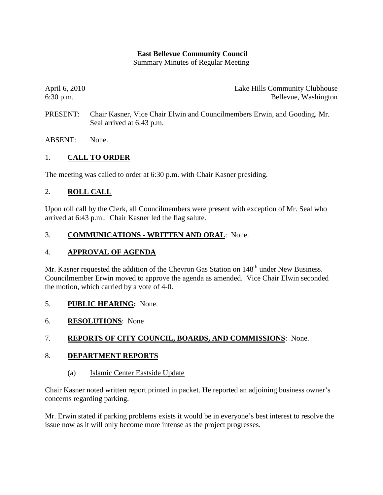### **East Bellevue Community Council**

Summary Minutes of Regular Meeting

April 6, 2010 Lake Hills Community Clubhouse 6:30 p.m. Bellevue, Washington

- PRESENT: Chair Kasner, Vice Chair Elwin and Councilmembers Erwin, and Gooding. Mr. Seal arrived at 6:43 p.m.
- ABSENT: None.

## 1. **CALL TO ORDER**

The meeting was called to order at 6:30 p.m. with Chair Kasner presiding.

### 2. **ROLL CALL**

Upon roll call by the Clerk, all Councilmembers were present with exception of Mr. Seal who arrived at 6:43 p.m.. Chair Kasner led the flag salute.

### 3. **COMMUNICATIONS - WRITTEN AND ORAL**: None.

### 4. **APPROVAL OF AGENDA**

Mr. Kasner requested the addition of the Chevron Gas Station on 148<sup>th</sup> under New Business. Councilmember Erwin moved to approve the agenda as amended. Vice Chair Elwin seconded the motion, which carried by a vote of 4-0.

- 5. **PUBLIC HEARING:** None.
- 6. **RESOLUTIONS**: None

### 7. **REPORTS OF CITY COUNCIL, BOARDS, AND COMMISSIONS**: None.

### 8. **DEPARTMENT REPORTS**

(a) Islamic Center Eastside Update

Chair Kasner noted written report printed in packet. He reported an adjoining business owner's concerns regarding parking.

Mr. Erwin stated if parking problems exists it would be in everyone's best interest to resolve the issue now as it will only become more intense as the project progresses.